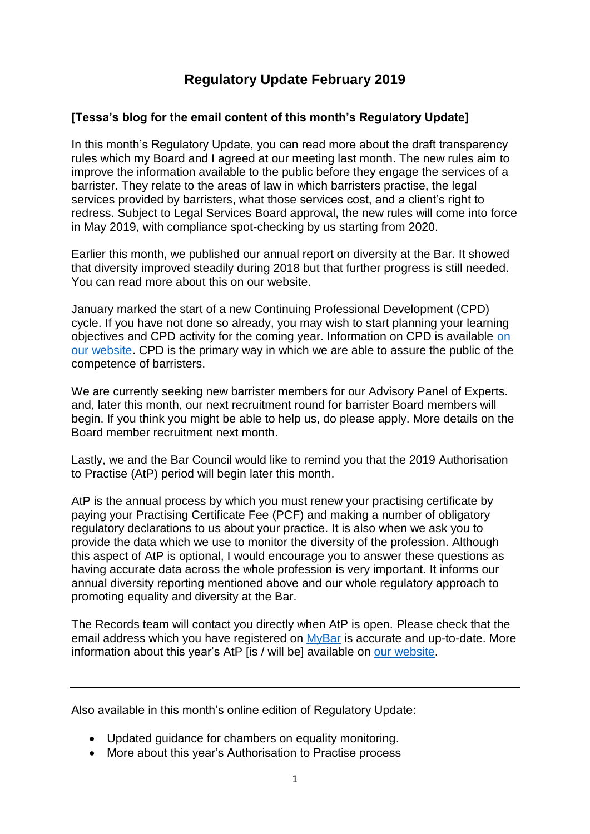# **Regulatory Update February 2019**

## **[Tessa's blog for the email content of this month's Regulatory Update]**

In this month's Regulatory Update, you can read more about the draft transparency rules which my Board and I agreed at our meeting last month. The new rules aim to improve the information available to the public before they engage the services of a barrister. They relate to the areas of law in which barristers practise, the legal services provided by barristers, what those services cost, and a client's right to redress. Subject to Legal Services Board approval, the new rules will come into force in May 2019, with compliance spot-checking by us starting from 2020.

Earlier this month, we published our annual report on diversity at the Bar. It showed that diversity improved steadily during 2018 but that further progress is still needed. You can read more about this on our website.

January marked the start of a new Continuing Professional Development (CPD) cycle. If you have not done so already, you may wish to start planning your learning objectives and CPD activity for the coming year. Information on CPD is available [on](https://www.barstandardsboard.org.uk/regulatory-requirements/for-barristers/continuing-professional-development-from-1-january-2017/established-practitioners-programme/)  [our website](https://www.barstandardsboard.org.uk/regulatory-requirements/for-barristers/continuing-professional-development-from-1-january-2017/established-practitioners-programme/)**.** CPD is the primary way in which we are able to assure the public of the competence of barristers.

We are currently seeking new barrister members for our Advisory Panel of Experts. and, later this month, our next recruitment round for barrister Board members will begin. If you think you might be able to help us, do please apply. More details on the Board member recruitment next month.

Lastly, we and the Bar Council would like to remind you that the 2019 Authorisation to Practise (AtP) period will begin later this month.

AtP is the annual process by which you must renew your practising certificate by paying your Practising Certificate Fee (PCF) and making a number of obligatory regulatory declarations to us about your practice. It is also when we ask you to provide the data which we use to monitor the diversity of the profession. Although this aspect of AtP is optional, I would encourage you to answer these questions as having accurate data across the whole profession is very important. It informs our annual diversity reporting mentioned above and our whole regulatory approach to promoting equality and diversity at the Bar.

The Records team will contact you directly when AtP is open. Please check that the email address which you have registered on [MyBar](https://www.mybar.org.uk/login.html) is accurate and up-to-date. More information about this year's AtP [is / will be] available on [our website.](https://www.barstandardsboard.org.uk/regulatory-requirements/for-barristers/practising-certificate/authorisation-to-practise/)

Also available in this month's online edition of Regulatory Update:

- Updated guidance for chambers on equality monitoring.
- More about this year's Authorisation to Practise process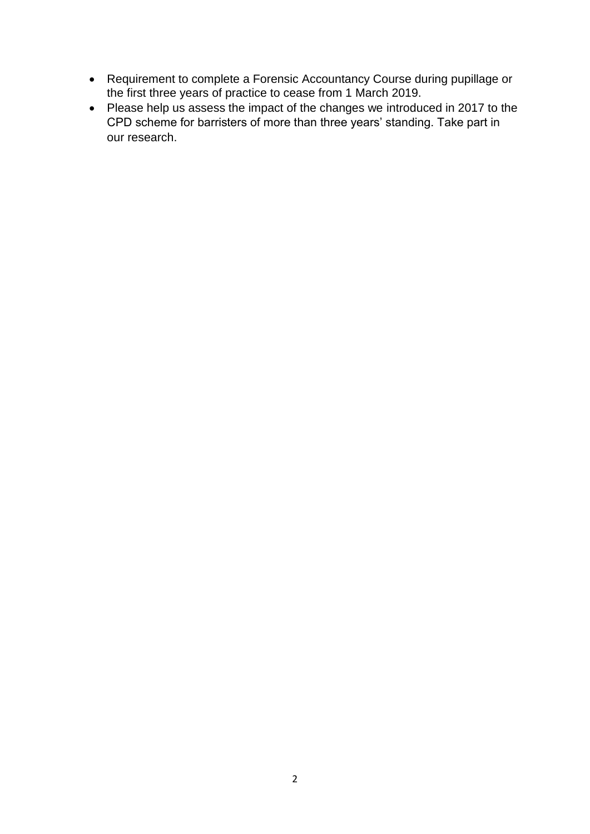- Requirement to complete a Forensic Accountancy Course during pupillage or the first three years of practice to cease from 1 March 2019.
- Please help us assess the impact of the changes we introduced in 2017 to the CPD scheme for barristers of more than three years' standing. Take part in our research.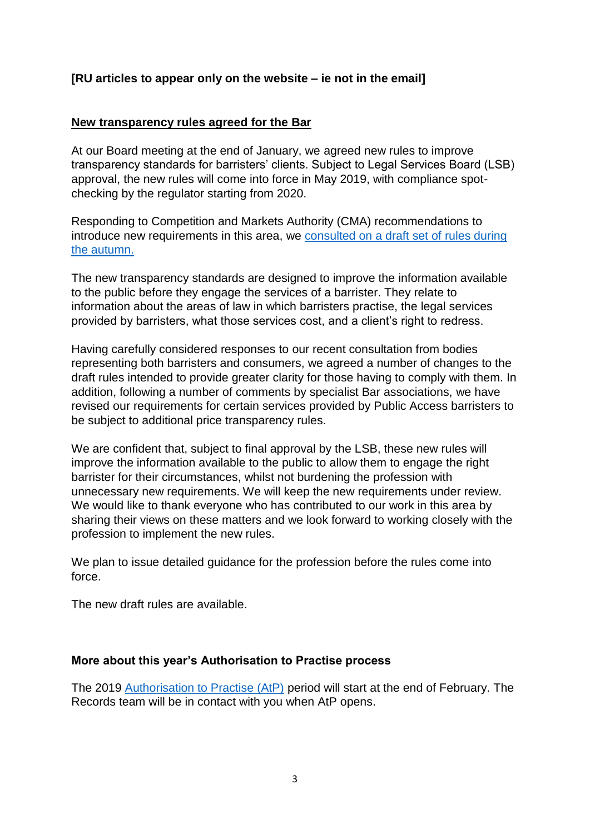## **[RU articles to appear only on the website – ie not in the email]**

#### **New transparency rules agreed for the Bar**

At our Board meeting at the end of January, we agreed new rules to improve transparency standards for barristers' clients. Subject to Legal Services Board (LSB) approval, the new rules will come into force in May 2019, with compliance spotchecking by the regulator starting from 2020.

Responding to Competition and Markets Authority (CMA) recommendations to introduce new requirements in this area, we [consulted on a draft set of rules during](https://www.barstandardsboard.org.uk/media-centre/press-releases-and-news/bsb-seeks-views-on-draft-of-new-bar-transparency-rules/)  [the autumn.](https://www.barstandardsboard.org.uk/media-centre/press-releases-and-news/bsb-seeks-views-on-draft-of-new-bar-transparency-rules/) 

The new transparency standards are designed to improve the information available to the public before they engage the services of a barrister. They relate to information about the areas of law in which barristers practise, the legal services provided by barristers, what those services cost, and a client's right to redress.

Having carefully considered responses to our recent consultation from bodies representing both barristers and consumers, we agreed a number of changes to the draft rules intended to provide greater clarity for those having to comply with them. In addition, following a number of comments by specialist Bar associations, we have revised our requirements for certain services provided by Public Access barristers to be subject to additional price transparency rules.

We are confident that, subject to final approval by the LSB, these new rules will improve the information available to the public to allow them to engage the right barrister for their circumstances, whilst not burdening the profession with unnecessary new requirements. We will keep the new requirements under review. We would like to thank everyone who has contributed to our work in this area by sharing their views on these matters and we look forward to working closely with the profession to implement the new rules.

We plan to issue detailed guidance for the profession before the rules come into force.

The new draft rules are available.

#### **More about this year's Authorisation to Practise process**

The 2019 Authorisation to Practise (AtP) period will start at the end of February. The Records team will be in contact with you when AtP opens.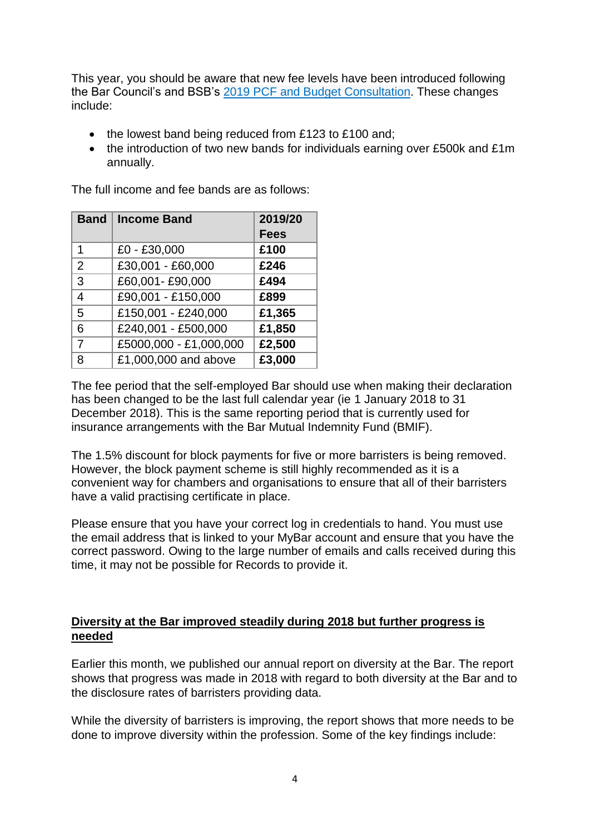This year, you should be aware that new fee levels have been introduced following the Bar Council's and BSB's 2019 PCF and Budget [Consultation.](https://www.barcouncil.org.uk/media/690090/181107_2019_pcf_and_budget_consultation_v4_mcc.pdf) These changes include:

- the lowest band being reduced from £123 to £100 and;
- the introduction of two new bands for individuals earning over £500k and £1m annually.

The full income and fee bands are as follows:

| <b>Band</b>    | <b>Income Band</b>                | 2019/20     |
|----------------|-----------------------------------|-------------|
|                |                                   | <b>Fees</b> |
| 1              | £0 - £30,000                      | £100        |
| $\overline{2}$ | £30,001 - £60,000                 | £246        |
| 3              | £60,001-£90,000                   | £494        |
| $\overline{4}$ | £90,001 - £150,000                | £899        |
| 5              | £150,001 - £240,000               | £1,365      |
| 6              | £240,001 - £500,000               | £1,850      |
| $\overline{7}$ | £5000,000 - £1,000,000            | £2,500      |
| 8              | $\overline{£1,000,000}$ and above | £3,000      |

The fee period that the self-employed Bar should use when making their declaration has been changed to be the last full calendar year (ie 1 January 2018 to 31 December 2018). This is the same reporting period that is currently used for insurance arrangements with the Bar Mutual Indemnity Fund (BMIF).

The 1.5% discount for block payments for five or more barristers is being removed. However, the block payment scheme is still highly recommended as it is a convenient way for chambers and organisations to ensure that all of their barristers have a valid practising certificate in place.

Please ensure that you have your correct log in credentials to hand. You must use the email address that is linked to your MyBar account and ensure that you have the correct password. Owing to the large number of emails and calls received during this time, it may not be possible for Records to provide it.

#### **Diversity at the Bar improved steadily during 2018 but further progress is needed**

Earlier this month, we published our annual report on diversity at the Bar. The report shows that progress was made in 2018 with regard to both diversity at the Bar and to the disclosure rates of barristers providing data.

While the diversity of barristers is improving, the report shows that more needs to be done to improve diversity within the profession. Some of the key findings include: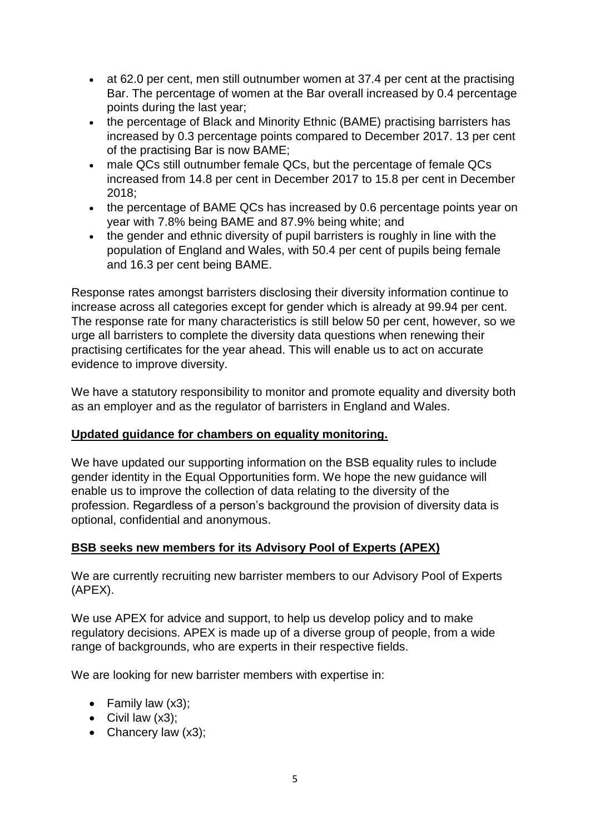- at 62.0 per cent, men still outnumber women at 37.4 per cent at the practising Bar. The percentage of women at the Bar overall increased by 0.4 percentage points during the last year;
- the percentage of Black and Minority Ethnic (BAME) practising barristers has increased by 0.3 percentage points compared to December 2017. 13 per cent of the practising Bar is now BAME;
- male QCs still outnumber female QCs, but the percentage of female QCs increased from 14.8 per cent in December 2017 to 15.8 per cent in December 2018;
- the percentage of BAME QCs has increased by 0.6 percentage points year on year with 7.8% being BAME and 87.9% being white; and
- the gender and ethnic diversity of pupil barristers is roughly in line with the population of England and Wales, with 50.4 per cent of pupils being female and 16.3 per cent being BAME.

Response rates amongst barristers disclosing their diversity information continue to increase across all categories except for gender which is already at 99.94 per cent. The response rate for many characteristics is still below 50 per cent, however, so we urge all barristers to complete the diversity data questions when renewing their practising certificates for the year ahead. This will enable us to act on accurate evidence to improve diversity.

We have a statutory responsibility to monitor and promote equality and diversity both as an employer and as the regulator of barristers in England and Wales.

## **Updated guidance for chambers on equality monitoring.**

We have updated our supporting information on the BSB equality rules to include gender identity in the Equal Opportunities form. We hope the new guidance will enable us to improve the collection of data relating to the diversity of the profession. Regardless of a person's background the provision of diversity data is optional, confidential and anonymous.

#### **BSB seeks new members for its Advisory Pool of Experts (APEX)**

We are currently recruiting new barrister members to our Advisory Pool of Experts (APEX).

We use APEX for advice and support, to help us develop policy and to make regulatory decisions. APEX is made up of a diverse group of people, from a wide range of backgrounds, who are experts in their respective fields.

We are looking for new barrister members with expertise in:

- Family law (x3);
- $\bullet$  Civil law  $(x3)$ ;
- Chancery law (x3);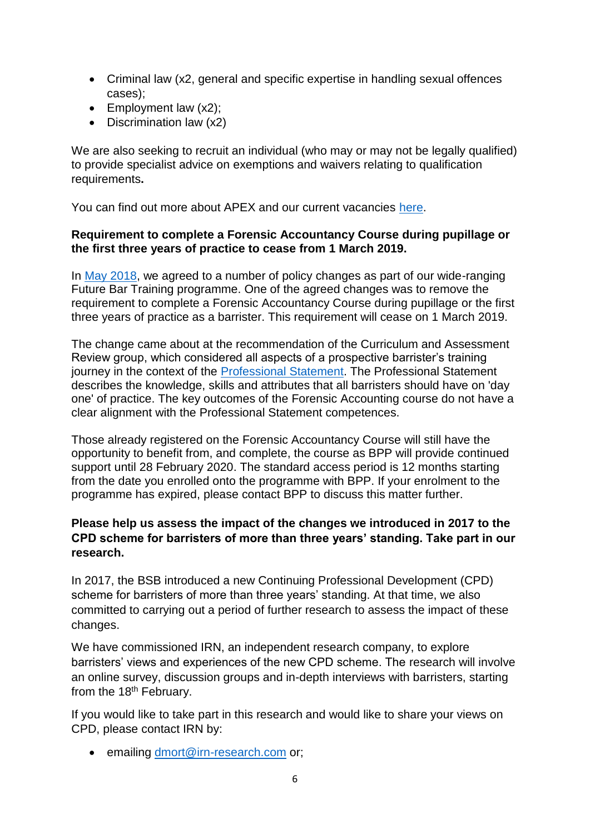- Criminal law (x2, general and specific expertise in handling sexual offences cases);
- Employment law  $(x2)$ ;
- Discrimination law (x2)

We are also seeking to recruit an individual (who may or may not be legally qualified) to provide specialist advice on exemptions and waivers relating to qualification requirements**.** 

You can find out more about APEX and our current vacancies [here.](https://www.barstandardsboard.org.uk/media-centre/press-releases-and-news/bsb-seeks-new-members-for-its-advisory-pool-of-experts-(apex)-(1)/)

#### **Requirement to complete a Forensic Accountancy Course during pupillage or the first three years of practice to cease from 1 March 2019.**

In [May 2018,](https://www.barstandardsboard.org.uk/media/1935316/fbt_pupillage_af_and_car_policy_statement_-_may18.pdf) we agreed to a number of policy changes as part of our wide-ranging Future Bar Training programme. One of the agreed changes was to remove the requirement to complete a Forensic Accountancy Course during pupillage or the first three years of practice as a barrister. This requirement will cease on 1 March 2019.

The change came about at the recommendation of the Curriculum and Assessment Review group, which considered all aspects of a prospective barrister's training journey in the context of the [Professional Statement.](https://www.barstandardsboard.org.uk/media/1787559/bsb_professional_statement_and_competences_2016.pdf) The Professional Statement describes the knowledge, skills and attributes that all barristers should have on 'day one' of practice. The key outcomes of the Forensic Accounting course do not have a clear alignment with the Professional Statement competences.

Those already registered on the Forensic Accountancy Course will still have the opportunity to benefit from, and complete, the course as BPP will provide continued support until 28 February 2020. The standard access period is 12 months starting from the date you enrolled onto the programme with BPP. If your enrolment to the programme has expired, please contact BPP to discuss this matter further.

## **Please help us assess the impact of the changes we introduced in 2017 to the CPD scheme for barristers of more than three years' standing. Take part in our research.**

In 2017, the BSB introduced a new Continuing Professional Development (CPD) scheme for barristers of more than three years' standing. At that time, we also committed to carrying out a period of further research to assess the impact of these changes.

We have commissioned IRN, an independent research company, to explore barristers' views and experiences of the new CPD scheme. The research will involve an online survey, discussion groups and in-depth interviews with barristers, starting from the 18<sup>th</sup> February.

If you would like to take part in this research and would like to share your views on CPD, please contact IRN by:

• emailing [dmort@irn-research.com](mailto:dmort@irn-research.com) or;